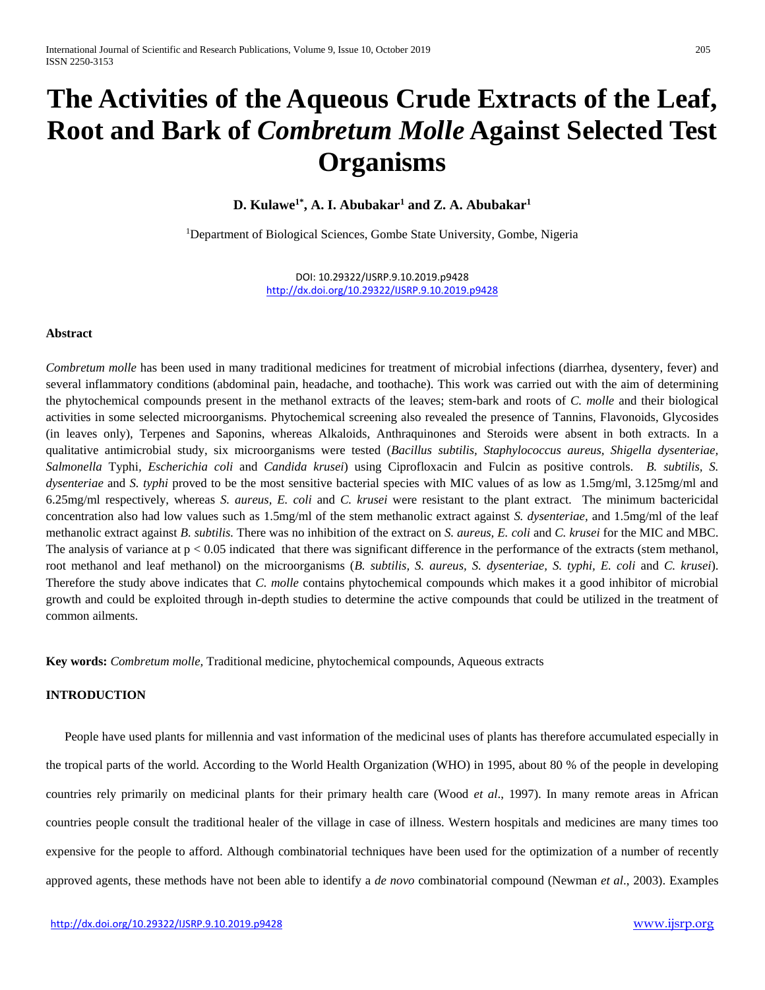# **The Activities of the Aqueous Crude Extracts of the Leaf, Root and Bark of** *Combretum Molle* **Against Selected Test Organisms**

**D. Kulawe1\* , A. I. Abubakar<sup>1</sup> and Z. A. Abubakar<sup>1</sup>**

<sup>1</sup>Department of Biological Sciences, Gombe State University, Gombe, Nigeria

DOI: 10.29322/IJSRP.9.10.2019.p9428 <http://dx.doi.org/10.29322/IJSRP.9.10.2019.p9428>

## **Abstract**

*Combretum molle* has been used in many traditional medicines for treatment of microbial infections (diarrhea, dysentery, fever) and several inflammatory conditions (abdominal pain, headache, and toothache). This work was carried out with the aim of determining the phytochemical compounds present in the methanol extracts of the leaves; stem-bark and roots of *C. molle* and their biological activities in some selected microorganisms. Phytochemical screening also revealed the presence of Tannins, Flavonoids, Glycosides (in leaves only), Terpenes and Saponins, whereas Alkaloids, Anthraquinones and Steroids were absent in both extracts. In a qualitative antimicrobial study, six microorganisms were tested (*Bacillus subtilis, Staphylococcus aureus, Shigella dysenteriae, Salmonella* Typhi*, Escherichia coli* and *Candida krusei*) using Ciprofloxacin and Fulcin as positive controls. *B. subtilis, S. dysenteriae* and *S. typhi* proved to be the most sensitive bacterial species with MIC values of as low as 1.5mg/ml, 3.125mg/ml and 6.25mg/ml respectively, whereas *S. aureus, E. coli* and *C. krusei* were resistant to the plant extract. The minimum bactericidal concentration also had low values such as 1.5mg/ml of the stem methanolic extract against *S. dysenteriae,* and 1.5mg/ml of the leaf methanolic extract against *B. subtilis.* There was no inhibition of the extract on *S. aureus, E. coli* and *C. krusei* for the MIC and MBC. The analysis of variance at  $p < 0.05$  indicated that there was significant difference in the performance of the extracts (stem methanol, root methanol and leaf methanol) on the microorganisms (*B. subtilis, S. aureus, S. dysenteriae, S. typhi, E. coli* and *C. krusei*). Therefore the study above indicates that *C. molle* contains phytochemical compounds which makes it a good inhibitor of microbial growth and could be exploited through in-depth studies to determine the active compounds that could be utilized in the treatment of common ailments.

**Key words:** *Combretum molle,* Traditional medicine, phytochemical compounds, Aqueous extracts

# **INTRODUCTION**

 People have used plants for millennia and vast information of the medicinal uses of plants has therefore accumulated especially in the tropical parts of the world. According to the World Health Organization (WHO) in 1995, about 80 % of the people in developing countries rely primarily on medicinal plants for their primary health care (Wood *et al*., 1997). In many remote areas in African countries people consult the traditional healer of the village in case of illness. Western hospitals and medicines are many times too expensive for the people to afford. Although combinatorial techniques have been used for the optimization of a number of recently approved agents, these methods have not been able to identify a *de novo* combinatorial compound (Newman *et al*., 2003). Examples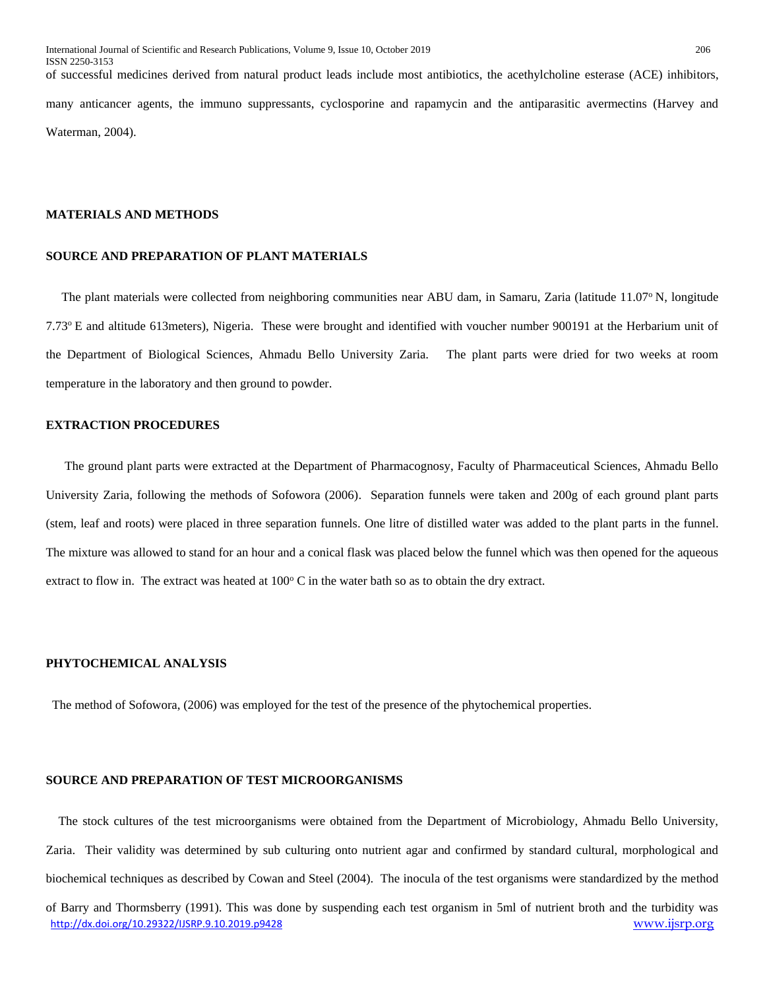of successful medicines derived from natural product leads include most antibiotics, the acethylcholine esterase (ACE) inhibitors, many anticancer agents, the immuno suppressants, cyclosporine and rapamycin and the antiparasitic avermectins (Harvey and Waterman, 2004).

### **MATERIALS AND METHODS**

#### **SOURCE AND PREPARATION OF PLANT MATERIALS**

The plant materials were collected from neighboring communities near ABU dam, in Samaru, Zaria (latitude 11.07° N, longitude 7.73<sup>o</sup>E and altitude 613meters), Nigeria. These were brought and identified with voucher number 900191 at the Herbarium unit of the Department of Biological Sciences, Ahmadu Bello University Zaria. The plant parts were dried for two weeks at room temperature in the laboratory and then ground to powder.

#### **EXTRACTION PROCEDURES**

 The ground plant parts were extracted at the Department of Pharmacognosy, Faculty of Pharmaceutical Sciences, Ahmadu Bello University Zaria, following the methods of Sofowora (2006). Separation funnels were taken and 200g of each ground plant parts (stem, leaf and roots) were placed in three separation funnels. One litre of distilled water was added to the plant parts in the funnel. The mixture was allowed to stand for an hour and a conical flask was placed below the funnel which was then opened for the aqueous extract to flow in. The extract was heated at  $100^{\circ}$  C in the water bath so as to obtain the dry extract.

### **PHYTOCHEMICAL ANALYSIS**

The method of Sofowora, (2006) was employed for the test of the presence of the phytochemical properties.

#### **SOURCE AND PREPARATION OF TEST MICROORGANISMS**

<http://dx.doi.org/10.29322/IJSRP.9.10.2019.p9428> [www.ijsrp.org](http://ijsrp.org/) The stock cultures of the test microorganisms were obtained from the Department of Microbiology, Ahmadu Bello University, Zaria. Their validity was determined by sub culturing onto nutrient agar and confirmed by standard cultural, morphological and biochemical techniques as described by Cowan and Steel (2004). The inocula of the test organisms were standardized by the method of Barry and Thormsberry (1991). This was done by suspending each test organism in 5ml of nutrient broth and the turbidity was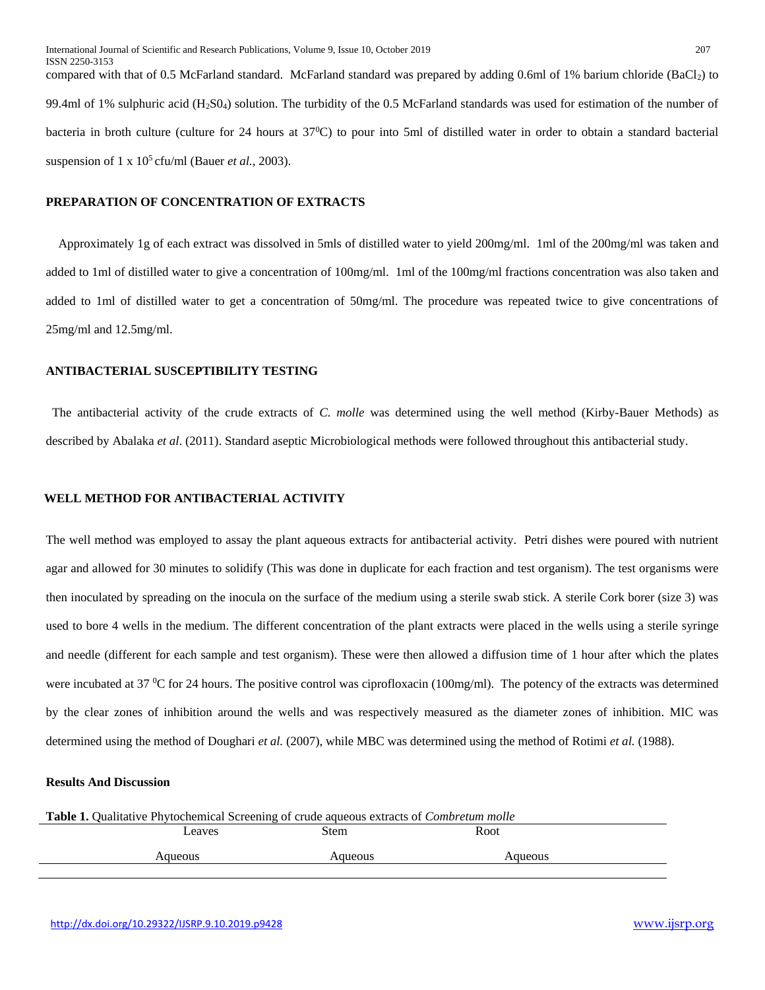compared with that of 0.5 McFarland standard. McFarland standard was prepared by adding 0.6ml of 1% barium chloride  $(BaCl<sub>2</sub>)$  to 99.4ml of 1% sulphuric acid (H<sub>2</sub>S0<sub>4</sub>) solution. The turbidity of the 0.5 McFarland standards was used for estimation of the number of bacteria in broth culture (culture for 24 hours at 37<sup>0</sup>C) to pour into 5ml of distilled water in order to obtain a standard bacterial suspension of  $1 \times 10^5$  cfu/ml (Bauer *et al.*, 2003).

## **PREPARATION OF CONCENTRATION OF EXTRACTS**

Approximately 1g of each extract was dissolved in 5mls of distilled water to yield 200mg/ml. 1ml of the 200mg/ml was taken and added to 1ml of distilled water to give a concentration of 100mg/ml. 1ml of the 100mg/ml fractions concentration was also taken and added to 1ml of distilled water to get a concentration of 50mg/ml. The procedure was repeated twice to give concentrations of 25mg/ml and 12.5mg/ml.

## **ANTIBACTERIAL SUSCEPTIBILITY TESTING**

 The antibacterial activity of the crude extracts of *C. molle* was determined using the well method (Kirby-Bauer Methods) as described by Abalaka *et al*. (2011). Standard aseptic Microbiological methods were followed throughout this antibacterial study.

#### **WELL METHOD FOR ANTIBACTERIAL ACTIVITY**

The well method was employed to assay the plant aqueous extracts for antibacterial activity. Petri dishes were poured with nutrient agar and allowed for 30 minutes to solidify (This was done in duplicate for each fraction and test organism). The test organisms were then inoculated by spreading on the inocula on the surface of the medium using a sterile swab stick. A sterile Cork borer (size 3) was used to bore 4 wells in the medium. The different concentration of the plant extracts were placed in the wells using a sterile syringe and needle (different for each sample and test organism). These were then allowed a diffusion time of 1 hour after which the plates were incubated at 37  $\rm{^{\circ}C}$  for 24 hours. The positive control was ciprofloxacin (100mg/ml). The potency of the extracts was determined by the clear zones of inhibition around the wells and was respectively measured as the diameter zones of inhibition. MIC was determined using the method of Doughari *et al.* (2007), while MBC was determined using the method of Rotimi *et al.* (1988).

## **Results And Discussion**

| <b>Table 1.</b> Qualitative Phytochemical Screening of crude aqueous extracts of <i>Combretum molle</i> |  |  |  |  |  |
|---------------------------------------------------------------------------------------------------------|--|--|--|--|--|
| Root<br>Stem<br>Leaves                                                                                  |  |  |  |  |  |
| Aqueous<br>Aqueous<br>Aqueous                                                                           |  |  |  |  |  |
|                                                                                                         |  |  |  |  |  |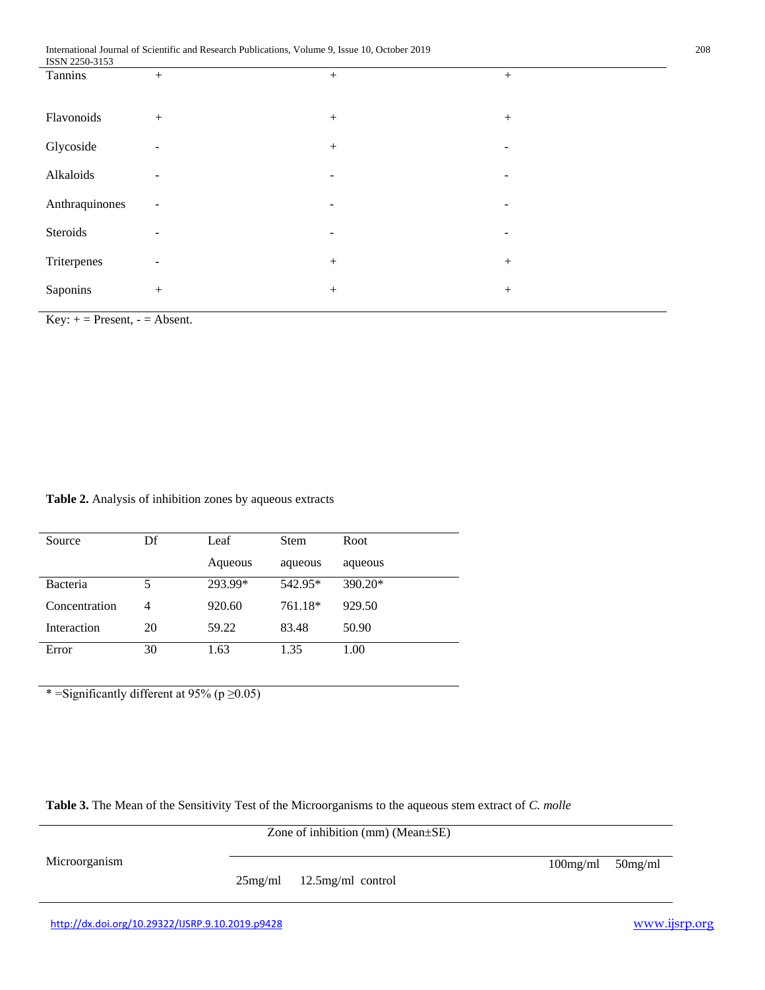| <b>19918 2230-3133</b> |                          |                          |                          |
|------------------------|--------------------------|--------------------------|--------------------------|
| Tannins                | $^{+}$                   | $^{+}$                   | $^{+}$                   |
| Flavonoids             | $+$                      | $+$                      | $^{+}$                   |
| Glycoside              | $\overline{\phantom{a}}$ | $\boldsymbol{+}$         | -                        |
| Alkaloids              | ۰                        | $\overline{\phantom{a}}$ | -                        |
| Anthraquinones         | $\overline{\phantom{a}}$ | $\overline{\phantom{a}}$ | -                        |
| Steroids               | -                        | ٠                        | $\overline{\phantom{a}}$ |
| Triterpenes            | $\overline{\phantom{a}}$ | $\boldsymbol{+}$         | $^{+}$                   |
| Saponins               | $+$                      | $\boldsymbol{+}$         | $^{+}$                   |

 $Key: += Present, - = Absent.$ 

**Table 2.** Analysis of inhibition zones by aqueous extracts

| Source        | Df | Leaf    | <b>Stem</b> | Root      |
|---------------|----|---------|-------------|-----------|
|               |    | Aqueous | aqueous     | aqueous   |
| Bacteria      |    | 293.99* | 542.95*     | $390.20*$ |
| Concentration | 4  | 920.60  | 761.18*     | 929.50    |
| Interaction   | 20 | 59.22   | 83.48       | 50.90     |
| Error         | 30 | 1.63    | 1.35        | 1.00      |

\* =Significantly different at 95% (p  $\geq$ 0.05)

**Table 3.** The Mean of the Sensitivity Test of the Microorganisms to the aqueous stem extract of *C. molle*

|                                                                                                                                                                                                                                   | Zone of inhibition (mm) ( $Mean \pm SE$ ) |             |            |
|-----------------------------------------------------------------------------------------------------------------------------------------------------------------------------------------------------------------------------------|-------------------------------------------|-------------|------------|
| Microorganism                                                                                                                                                                                                                     | $25mg/ml$ 12.5mg/ml control               | $100$ mg/ml | $50$ mg/ml |
| $\mathbf{u}$ . The contract of the second function of the second contract of the second contract of the second contract of the second contract of the second contract of the second contract of the second contract of the second |                                           |             | $\bullet$  |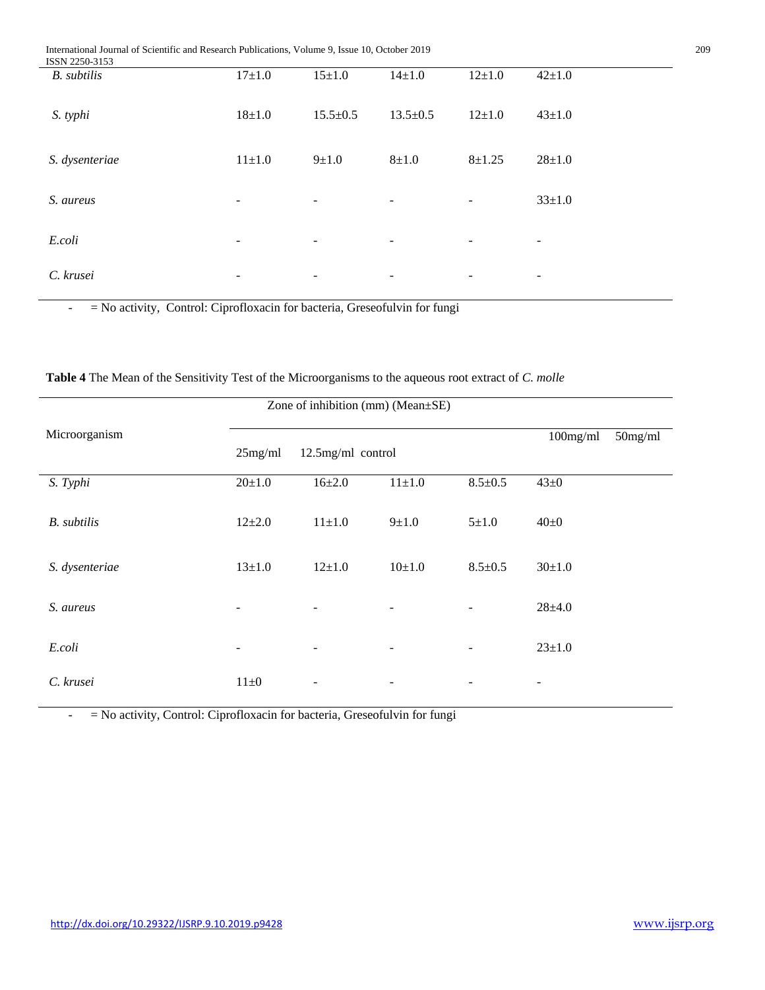International Journal of Scientific and Research Publications, Volume 9, Issue 10, October 2019 209

| ISSN 2250-3153     |                          |                          |                          |              |                          |
|--------------------|--------------------------|--------------------------|--------------------------|--------------|--------------------------|
| <b>B.</b> subtilis | $17 + 1.0$               | $15 + 1.0$               | $14 \pm 1.0$             | $12 \pm 1.0$ | $42 \pm 1.0$             |
| S. typhi           | $18 + 1.0$               | $15.5 \pm 0.5$           | $13.5 \pm 0.5$           | $12 \pm 1.0$ | $43 \pm 1.0$             |
| S. dysenteriae     | $11 \pm 1.0$             | $9 \pm 1.0$              | $8 + 1.0$                | $8 + 1.25$   | $28 + 1.0$               |
| S. aureus          | $\overline{\phantom{a}}$ | $\overline{\phantom{a}}$ | $\overline{\phantom{a}}$ | -            | $33 \pm 1.0$             |
| E.coli             | -                        | $\overline{\phantom{a}}$ | $\overline{\phantom{a}}$ | -            | $\overline{\phantom{a}}$ |
| C. krusei          | -                        | $\overline{\phantom{a}}$ | $\overline{\phantom{a}}$ | ۰.           | -                        |

- = No activity, Control: Ciprofloxacin for bacteria, Greseofulvin for fungi

| Zone of inhibition (mm) (Mean±SE) |                          |                          |                          |                          |              |            |
|-----------------------------------|--------------------------|--------------------------|--------------------------|--------------------------|--------------|------------|
| Microorganism                     | 25mg/ml                  | 12.5mg/ml control        |                          |                          | $100$ mg/ml  | $50$ mg/ml |
| S. Typhi                          | $20+1.0$                 | $16 \pm 2.0$             | $11 \pm 1.0$             | $8.5 \pm 0.5$            | $43\pm0$     |            |
| <b>B.</b> subtilis                | $12 + 2.0$               | $11 \pm 1.0$             | $9 \pm 1.0$              | $5 + 1.0$                | $40\pm0$     |            |
| S. dysenteriae                    | $13 + 1.0$               | $12+1.0$                 | $10+1.0$                 | $8.5 \pm 0.5$            | $30+1.0$     |            |
| S. aureus                         | $\overline{\phantom{a}}$ | $\overline{\phantom{a}}$ | $\overline{\phantom{a}}$ | $\overline{\phantom{a}}$ | $28 + 4.0$   |            |
| E.coli                            | $\overline{\phantom{a}}$ | $\overline{\phantom{a}}$ | $\overline{\phantom{a}}$ | $\overline{\phantom{a}}$ | $23 \pm 1.0$ |            |
| C. krusei                         | $11\pm0$                 |                          |                          |                          |              |            |

**Table 4** The Mean of the Sensitivity Test of the Microorganisms to the aqueous root extract of *C. molle*

- = No activity, Control: Ciprofloxacin for bacteria, Greseofulvin for fungi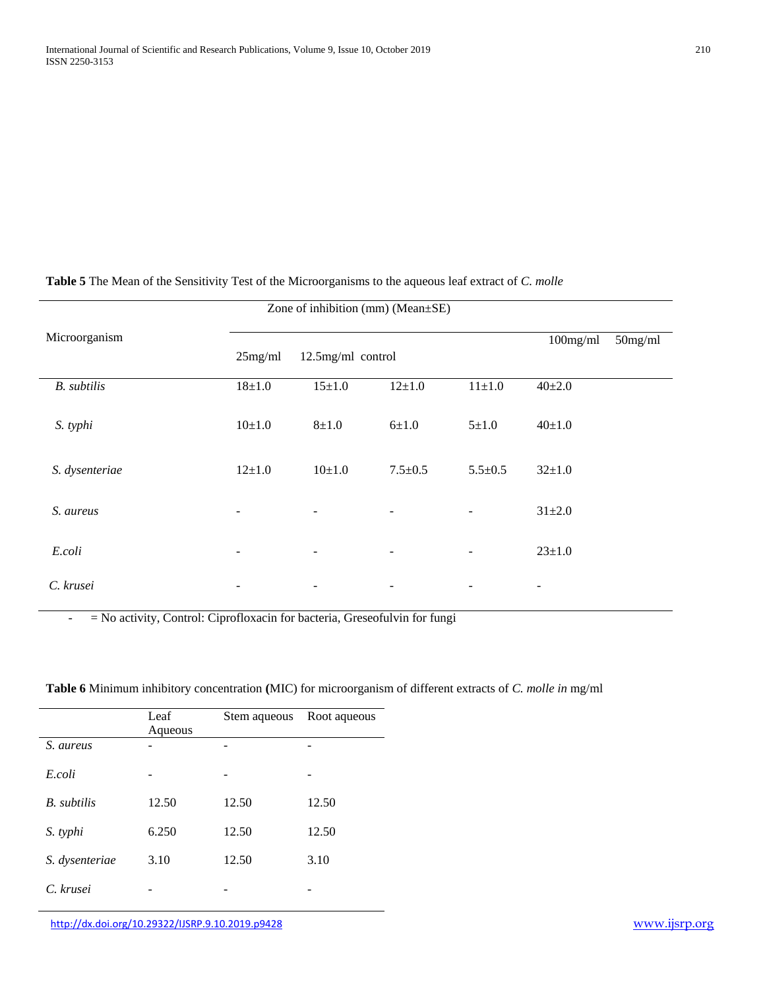j.

| Zone of inhibition (mm) (Mean±SE) |            |                          |                          |                          |              |            |
|-----------------------------------|------------|--------------------------|--------------------------|--------------------------|--------------|------------|
| Microorganism                     | 25mg/ml    | 12.5mg/ml control        |                          |                          | $100$ mg/ml  | $50$ mg/ml |
| <b>B.</b> subtilis                | $18 + 1.0$ | $15 + 1.0$               | $12 + 1.0$               | $11 \pm 1.0$             | $40 \pm 2.0$ |            |
| S. typhi                          | $10+1.0$   | $8 + 1.0$                | $6 + 1.0$                | $5 + 1.0$                | $40+1.0$     |            |
| S. dysenteriae                    | $12+1.0$   | $10+1.0$                 | $7.5 \pm 0.5$            | $5.5 \pm 0.5$            | $32+1.0$     |            |
|                                   |            |                          |                          |                          |              |            |
| S. aureus                         | -          | $\overline{\phantom{a}}$ | $\qquad \qquad -$        | Ξ.                       | $31 + 2.0$   |            |
|                                   |            |                          |                          |                          |              |            |
| E.coli                            | ۰          | $\overline{\phantom{a}}$ | -                        | $\overline{\phantom{a}}$ | $23 \pm 1.0$ |            |
| C. krusei                         | -          | $\overline{\phantom{a}}$ | $\overline{\phantom{a}}$ | $\overline{\phantom{a}}$ | -            |            |

# **Table 5** The Mean of the Sensitivity Test of the Microorganisms to the aqueous leaf extract of *C. molle*

- = No activity, Control: Ciprofloxacin for bacteria, Greseofulvin for fungi

|                    | Leaf    | Stem aqueous | Root aqueous |
|--------------------|---------|--------------|--------------|
|                    | Aqueous |              |              |
| S. aureus          |         |              |              |
| E.coli             |         |              |              |
| <b>B.</b> subtilis | 12.50   | 12.50        | 12.50        |
| S. typhi           | 6.250   | 12.50        | 12.50        |
| S. dysenteriae     | 3.10    | 12.50        | 3.10         |
| C. krusei          |         |              |              |

## **Table 6** Minimum inhibitory concentration **(**MIC) for microorganism of different extracts of *C. molle in* mg/ml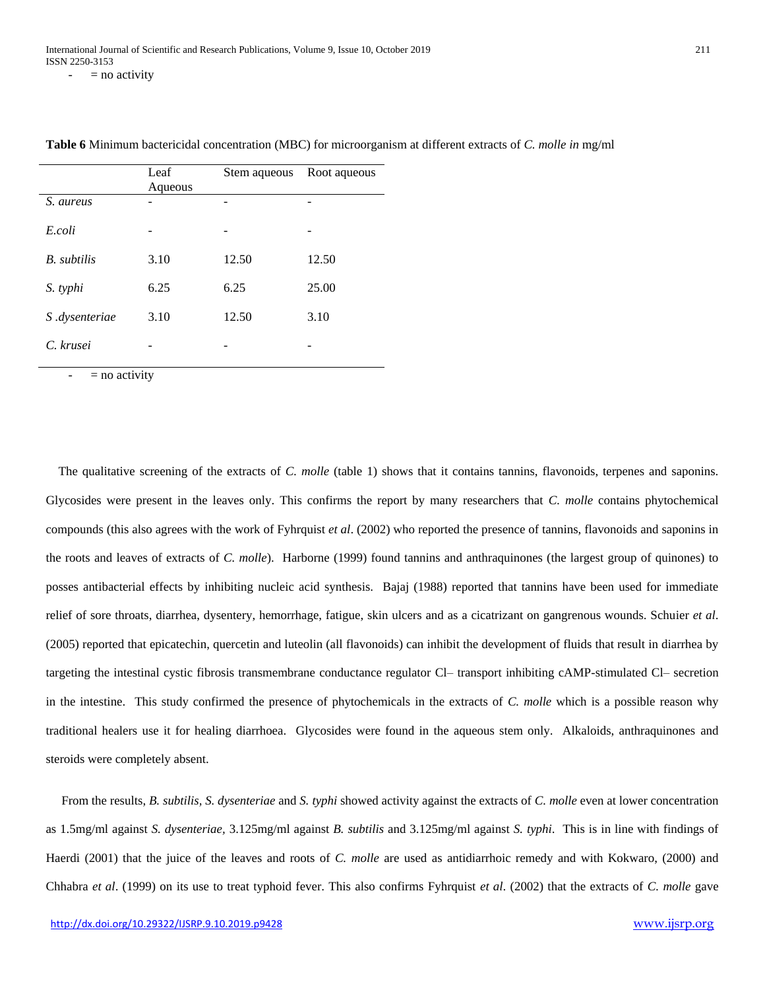Leaf Aqueous Stem aqueous Root aqueous *S. aureus* - - - *E.coli* - - - *B. subtilis* 3.10 12.50 12.50 *S. typhi* 6.25 6.25 25.00 *S .dysenteriae* 3.10 12.50 3.10  $C.$  krusei

**Table 6** Minimum bactericidal concentration (MBC) for microorganism at different extracts of *C. molle in* mg/ml

 $=$  no activity

The qualitative screening of the extracts of *C. molle* (table 1) shows that it contains tannins, flavonoids, terpenes and saponins. Glycosides were present in the leaves only. This confirms the report by many researchers that *C. molle* contains phytochemical compounds (this also agrees with the work of Fyhrquist *et al*. (2002) who reported the presence of tannins, flavonoids and saponins in the roots and leaves of extracts of *C. molle*). Harborne (1999) found tannins and anthraquinones (the largest group of quinones) to posses antibacterial effects by inhibiting nucleic acid synthesis. Bajaj (1988) reported that tannins have been used for immediate relief of sore throats, diarrhea, dysentery, hemorrhage, fatigue, skin ulcers and as a cicatrizant on gangrenous wounds. Schuier *et al*. (2005) reported that epicatechin, quercetin and luteolin (all flavonoids) can inhibit the development of fluids that result in diarrhea by targeting the intestinal cystic fibrosis transmembrane conductance regulator Cl– transport inhibiting cAMP-stimulated Cl– secretion in the intestine. This study confirmed the presence of phytochemicals in the extracts of *C. molle* which is a possible reason why traditional healers use it for healing diarrhoea. Glycosides were found in the aqueous stem only. Alkaloids, anthraquinones and steroids were completely absent.

 From the results, *B. subtilis, S. dysenteriae* and *S. typhi* showed activity against the extracts of *C. molle* even at lower concentration as 1.5mg/ml against *S. dysenteriae,* 3.125mg/ml against *B. subtilis* and 3.125mg/ml against *S. typhi*. This is in line with findings of Haerdi (2001) that the juice of the leaves and roots of *C. molle* are used as antidiarrhoic remedy and with Kokwaro, (2000) and Chhabra *et al*. (1999) on its use to treat typhoid fever. This also confirms Fyhrquist *et al*. (2002) that the extracts of *C. molle* gave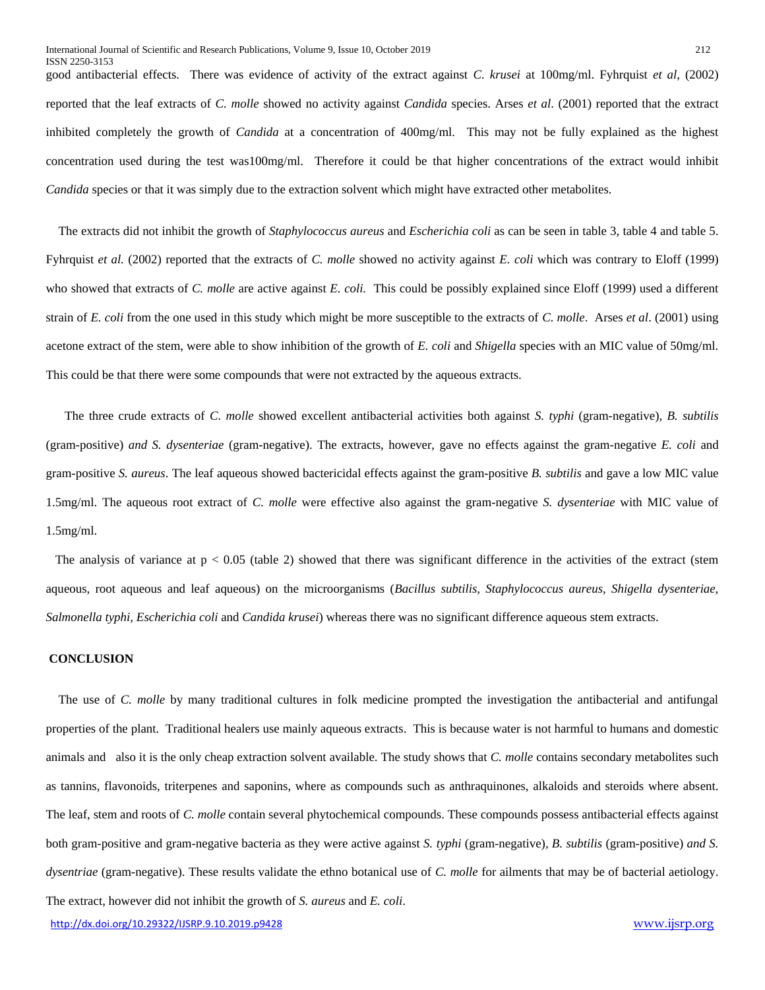good antibacterial effects. There was evidence of activity of the extract against *C. krusei* at 100mg/ml. Fyhrquist *et al*, (2002) reported that the leaf extracts of *C. molle* showed no activity against *Candida* species. Arses *et al*. (2001) reported that the extract inhibited completely the growth of *Candida* at a concentration of 400mg/ml. This may not be fully explained as the highest concentration used during the test was100mg/ml. Therefore it could be that higher concentrations of the extract would inhibit *Candida* species or that it was simply due to the extraction solvent which might have extracted other metabolites.

 The extracts did not inhibit the growth of *Staphylococcus aureus* and *Escherichia coli* as can be seen in table 3, table 4 and table 5. Fyhrquist *et al.* (2002) reported that the extracts of *C. molle* showed no activity against *E. coli* which was contrary to Eloff (1999) who showed that extracts of *C. molle* are active against *E. coli.* This could be possibly explained since Eloff (1999) used a different strain of *E. coli* from the one used in this study which might be more susceptible to the extracts of *C. molle*. Arses *et al*. (2001) using acetone extract of the stem, were able to show inhibition of the growth of *E. coli* and *Shigella* species with an MIC value of 50mg/ml. This could be that there were some compounds that were not extracted by the aqueous extracts.

 The three crude extracts of *C. molle* showed excellent antibacterial activities both against *S. typhi* (gram-negative)*, B. subtilis*  (gram-positive) *and S. dysenteriae* (gram-negative). The extracts, however, gave no effects against the gram-negative *E. coli* and gram-positive *S. aureus*. The leaf aqueous showed bactericidal effects against the gram-positive *B. subtilis* and gave a low MIC value 1.5mg/ml. The aqueous root extract of *C. molle* were effective also against the gram-negative *S. dysenteriae* with MIC value of 1.5mg/ml.

The analysis of variance at  $p < 0.05$  (table 2) showed that there was significant difference in the activities of the extract (stem aqueous, root aqueous and leaf aqueous) on the microorganisms (*Bacillus subtilis, Staphylococcus aureus, Shigella dysenteriae, Salmonella typhi, Escherichia coli* and *Candida krusei*) whereas there was no significant difference aqueous stem extracts.

## **CONCLUSION**

ISSN 2250-3153

 The use of *C. molle* by many traditional cultures in folk medicine prompted the investigation the antibacterial and antifungal properties of the plant. Traditional healers use mainly aqueous extracts. This is because water is not harmful to humans and domestic animals and also it is the only cheap extraction solvent available. The study shows that *C. molle* contains secondary metabolites such as tannins, flavonoids, triterpenes and saponins, where as compounds such as anthraquinones, alkaloids and steroids where absent. The leaf, stem and roots of *C. molle* contain several phytochemical compounds. These compounds possess antibacterial effects against both gram-positive and gram-negative bacteria as they were active against *S. typhi* (gram-negative)*, B. subtilis* (gram-positive) *and S. dysentriae* (gram-negative). These results validate the ethno botanical use of *C. molle* for ailments that may be of bacterial aetiology. The extract, however did not inhibit the growth of *S. aureus* and *E. coli*.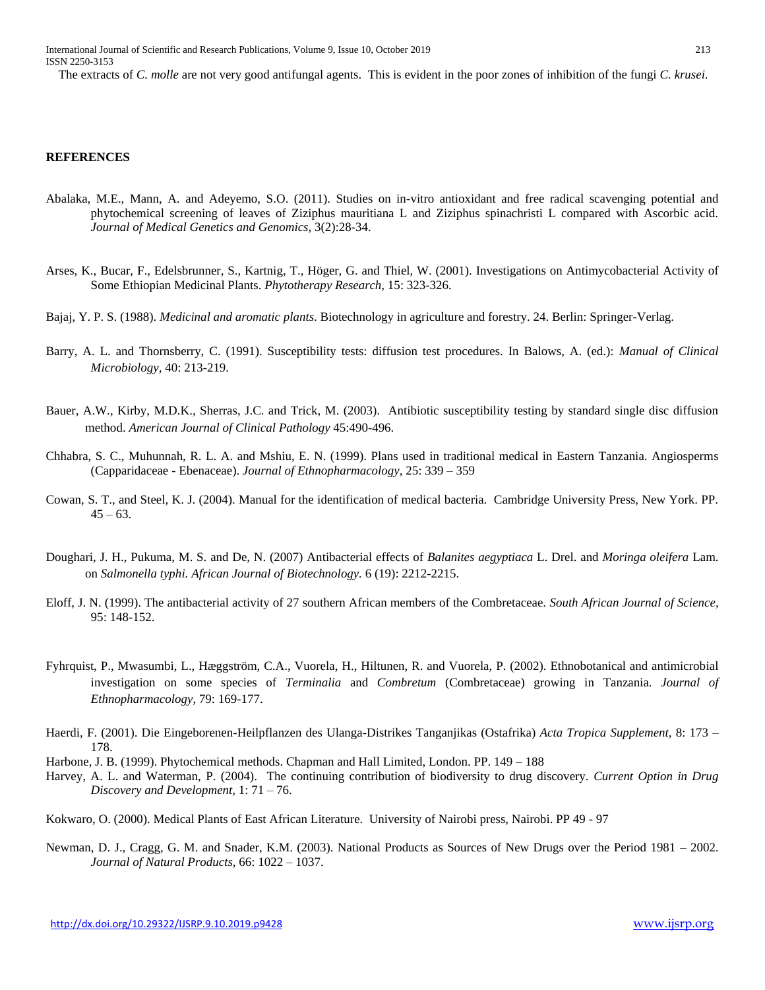The extracts of *C. molle* are not very good antifungal agents. This is evident in the poor zones of inhibition of the fungi *C. krusei*.

#### **REFERENCES**

- Abalaka, M.E., Mann, A. and Adeyemo, S.O. (2011). Studies on in-vitro antioxidant and free radical scavenging potential and phytochemical screening of leaves of Ziziphus mauritiana L and Ziziphus spinachristi L compared with Ascorbic acid. *Journal of Medical Genetics and Genomics*, 3(2):28-34.
- Arses, K., Bucar, F., Edelsbrunner, S., Kartnig, T., Höger, G. and Thiel, W. (2001). Investigations on Antimycobacterial Activity of Some Ethiopian Medicinal Plants. *Phytotherapy Research,* 15: 323-326.
- Bajaj, Y. P. S. (1988). *Medicinal and aromatic plants*. Biotechnology in agriculture and forestry. 24. Berlin: Springer-Verlag.
- Barry, A. L. and Thornsberry, C. (1991). Susceptibility tests: diffusion test procedures. In Balows, A. (ed.): *Manual of Clinical Microbiology,* 40: 213-219.
- Bauer, A.W., Kirby, M.D.K., Sherras, J.C. and Trick, M. (2003). Antibiotic susceptibility testing by standard single disc diffusion method. *American Journal of Clinical Pathology* 45:490-496.
- Chhabra, S. C., Muhunnah, R. L. A. and Mshiu, E. N. (1999). Plans used in traditional medical in Eastern Tanzania. Angiosperms (Capparidaceae - Ebenaceae). *Journal of Ethnopharmacology,* 25: 339 – 359
- Cowan, S. T., and Steel, K. J. (2004). Manual for the identification of medical bacteria. Cambridge University Press, New York. PP.  $45 - 63$ .
- Doughari, J. H., Pukuma, M. S. and De, N. (2007) Antibacterial effects of *Balanites aegyptiaca* L. Drel. and *Moringa oleifera* Lam. on *Salmonella typhi. African Journal of Biotechnology.* 6 (19): 2212-2215.
- Eloff, J. N. (1999). The antibacterial activity of 27 southern African members of the Combretaceae. *South African Journal of Science,*  95: 148-152.
- Fyhrquist, P., Mwasumbi, L., Hæggström, C.A., Vuorela, H., Hiltunen, R. and Vuorela, P. (2002). Ethnobotanical and antimicrobial investigation on some species of *Terminalia* and *Combretum* (Combretaceae) growing in Tanzania. *Journal of Ethnopharmacology,* 79: 169-177.
- Haerdi, F. (2001). Die Eingeborenen-Heilpflanzen des Ulanga-Distrikes Tanganjikas (Ostafrika) *Acta Tropica Supplement,* 8: 173 178.
- Harbone, J. B. (1999). Phytochemical methods. Chapman and Hall Limited, London. PP. 149 188
- Harvey, A. L. and Waterman, P. (2004). The continuing contribution of biodiversity to drug discovery. *Current Option in Drug Discovery and Development,* 1: 71 – 76.
- Kokwaro, O. (2000). Medical Plants of East African Literature. University of Nairobi press, Nairobi. PP 49 97
- Newman, D. J., Cragg, G. M. and Snader, K.M. (2003). National Products as Sources of New Drugs over the Period 1981 2002. *Journal of Natural Products,* 66: 1022 – 1037.